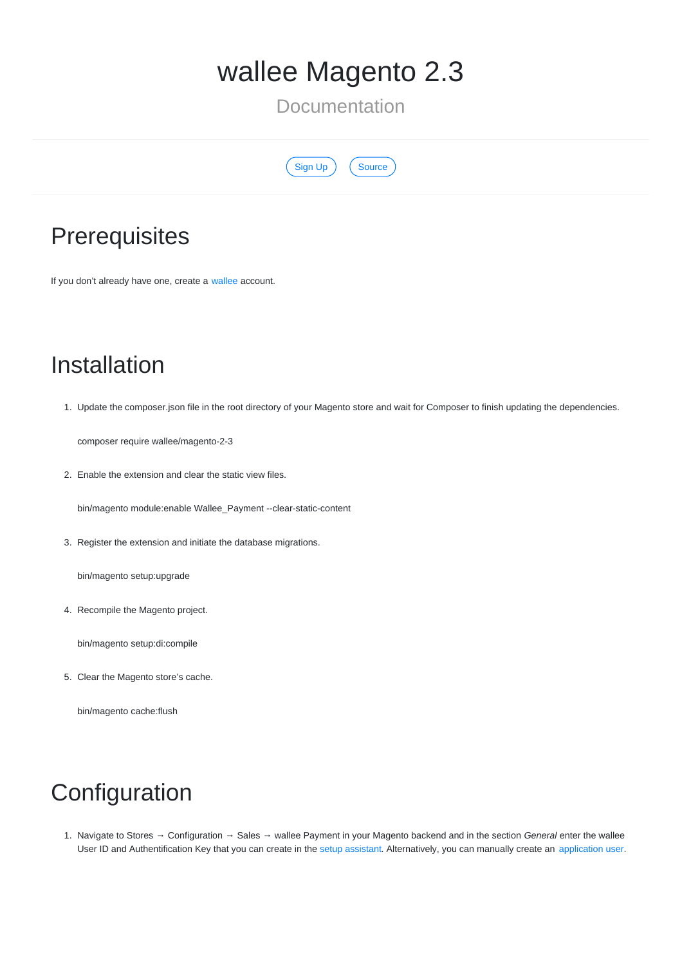# wallee Magento 2.3

Documentation

| an un | <b>Source</b> |
|-------|---------------|
|       |               |

## **Prerequisites**

If you don't already have one, create a [wallee](https://www.wallee.com/) account.

## Installation

1. Update the composer.json file in the root directory of your Magento store and wait for Composer to finish updating the dependencies.

composer require wallee/magento-2-3

2. Enable the extension and clear the static view files.

bin/magento module:enable Wallee\_Payment --clear-static-content

3. Register the extension and initiate the database migrations.

bin/magento setup:upgrade

4. Recompile the Magento project.

bin/magento setup:di:compile

5. Clear the Magento store's cache.

bin/magento cache:flush

## Configuration

1. Navigate to Stores → Configuration → Sales → wallee Payment in your Magento backend and in the section *General* enter the wallee User ID and Authentification Key that you can create in the setup [assistant](https://app-wallee.com/space/select?target=/space/assistant). Alternatively, you can manually create an [application](https://app-wallee.com/en-us/doc/permission-concept#_create_application_users) user.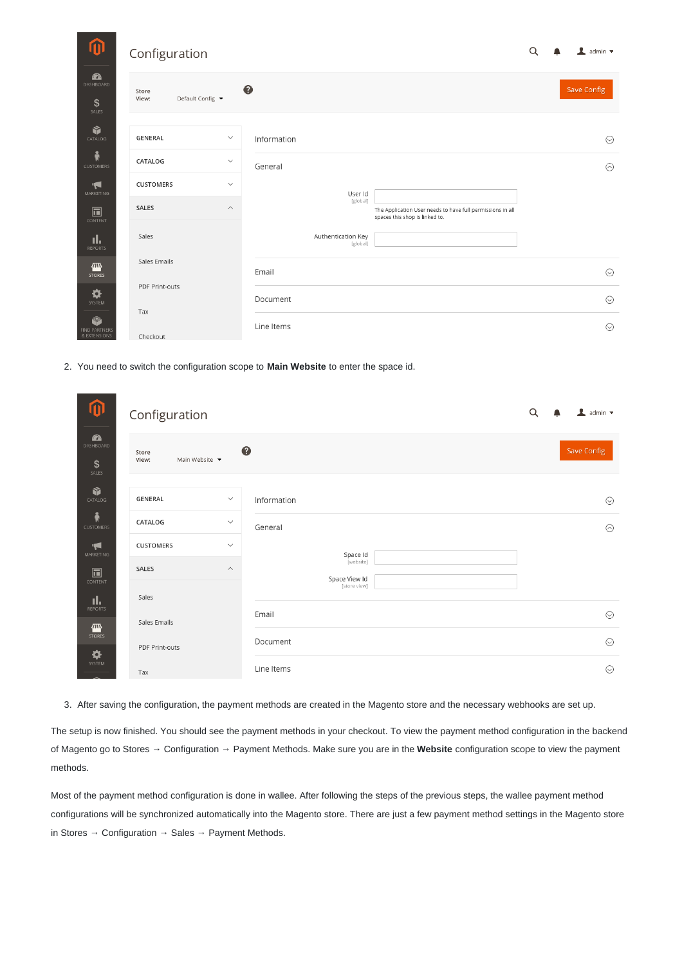<span id="page-1-0"></span>

| ⑪                             | Configuration                      |                                                                                                                      | Q | $\blacksquare$ admin $\blacktriangleright$ |
|-------------------------------|------------------------------------|----------------------------------------------------------------------------------------------------------------------|---|--------------------------------------------|
| Ø<br>DASHBOARD<br>\$<br>SALES | Store<br>Default Config ▼<br>View: | ❸                                                                                                                    |   | Save Config                                |
| Ŷ<br>CATALOG                  | <b>GENERAL</b>                     | $\checkmark$<br>Information                                                                                          |   | $\odot$                                    |
| Ŵ<br><b>CUSTOMERS</b>         | CATALOG                            | $\checkmark$<br>General                                                                                              |   | $\odot$                                    |
| H<br>MARKETING                | <b>CUSTOMERS</b>                   | $\checkmark$<br>User Id                                                                                              |   |                                            |
| $\square$<br>CONTENT          | SALES                              | [global]<br>$\wedge$<br>The Application User needs to have full permissions in all<br>spaces this shop is linked to. |   |                                            |
| ıl.<br><b>REPORTS</b>         | Sales                              | Authentication Key<br>[global]                                                                                       |   |                                            |
| 伵<br><b>STORES</b>            | Sales Emails                       | Email                                                                                                                |   | $\odot$                                    |
| ❖<br>SYSTEM                   | PDF Print-outs                     | Document                                                                                                             |   | $\odot$                                    |
| Ŵ<br><b>FIND PARTNERS</b>     | Tax                                | Line Items                                                                                                           |   | $\odot$                                    |
| & EXTENSIONS                  | Checkout                           |                                                                                                                      |   |                                            |

2. You need to switch the configuration scope to **Main Website** to enter the space id.

| ⑪                                        | Configuration                    |               |                            | Q | $\perp$ admin $\sim$ |
|------------------------------------------|----------------------------------|---------------|----------------------------|---|----------------------|
| $\mathbf{z}$<br>DASHBOARD<br>\$<br>SALES | Store<br>Main Website •<br>View: |               | €                          |   | <b>Save Config</b>   |
| Ŵ<br>CATALOG                             | GENERAL                          | $\checkmark$  | Information                |   | $\odot$              |
| ŵ<br><b>CUSTOMERS</b>                    | CATALOG                          | $\smallsmile$ | General                    |   | $\odot$              |
| $\blacktriangleleft$<br>MARKETING        | <b>CUSTOMERS</b>                 | $\checkmark$  | Space Id                   |   |                      |
| $\Box$<br>CONTENT                        | SALES                            | $\wedge$      | [website]<br>Space View Id |   |                      |
| ıl.<br><b>REPORTS</b>                    | Sales                            |               | [store view]               |   |                      |
| 伵                                        | Sales Emails                     |               | Email                      |   | $\odot$              |
| <b>STORES</b><br>❖                       | PDF Print-outs                   |               | Document                   |   | $\odot$              |
| SYSTEM                                   | Tax                              |               | Line Items                 |   | $\odot$              |

3. After saving the configuration, the payment methods are created in the Magento store and the necessary webhooks are set up.

The setup is now finished. You should see the payment methods in your checkout. To view the payment method configuration in the backend of Magento go to Stores → Configuration → Payment Methods. Make sure you are in the **Website** configuration scope to view the payment methods.

Most of the payment method configuration is done in wallee. After following the steps of the previous steps, the wallee payment method configurations will be synchronized automatically into the Magento store. There are just a few payment method settings in the Magento store in Stores → Configuration → Sales → Payment Methods.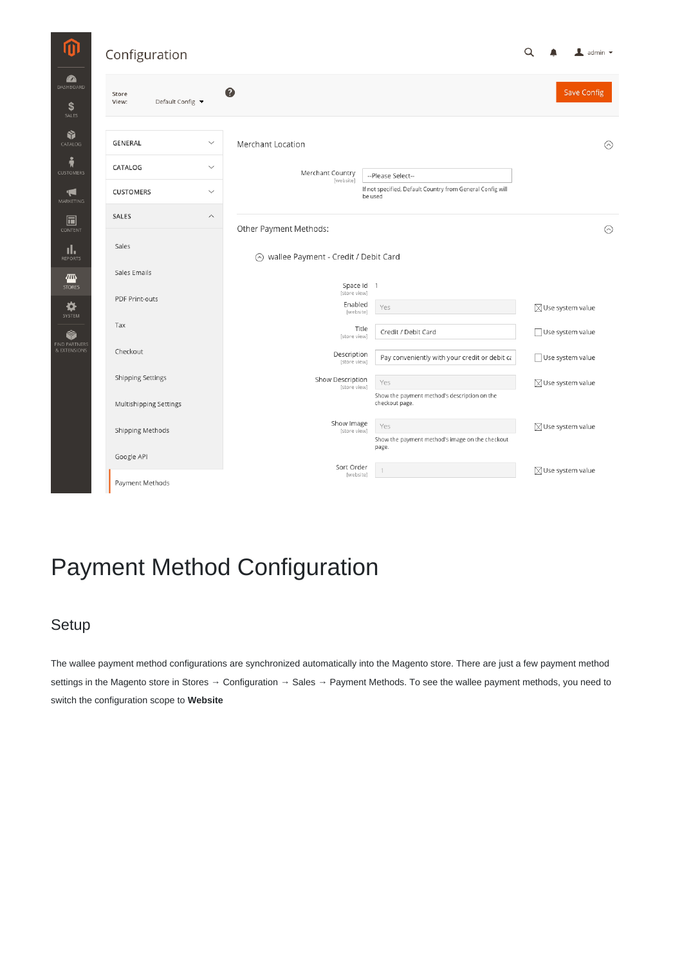| Configuration                      |                         |                                        |                                                                       | Q                            | $\mathbf 1$ admin $\mathbf$ |
|------------------------------------|-------------------------|----------------------------------------|-----------------------------------------------------------------------|------------------------------|-----------------------------|
| Store<br>Default Config ▼<br>View: |                         | ❸                                      |                                                                       |                              | Save Config                 |
| <b>GENERAL</b>                     | $\checkmark$            | Merchant Location                      |                                                                       |                              | $\odot$                     |
| CATALOG                            | $\checkmark$            | Merchant Country<br>[website]          | --Please Select--                                                     |                              |                             |
| <b>CUSTOMERS</b>                   | $\checkmark$            |                                        | If not specified, Default Country from General Config will<br>be used |                              |                             |
| <b>SALES</b>                       | $\widehat{\phantom{a}}$ | Other Payment Methods:                 |                                                                       |                              | $\odot$                     |
| Sales                              |                         | ⊙ wallee Payment - Credit / Debit Card |                                                                       |                              |                             |
| Sales Emails                       |                         |                                        |                                                                       |                              |                             |
| <b>PDF Print-outs</b>              |                         | Space Id 1<br>[store view]<br>Enabled  | Yes                                                                   | $\boxtimes$ Use system value |                             |
| Tax                                |                         | [website]<br>Title<br>[store view]     | Credit / Debit Card                                                   | Use system value             |                             |
| Checkout                           |                         | Description<br>[store view]            | Pay conveniently with your credit or debit ca                         | Use system value             |                             |
| <b>Shipping Settings</b>           |                         | Show Description<br>[store view]       | Yes                                                                   | $\boxtimes$ Use system value |                             |
| Multishipping Settings             |                         |                                        | Show the payment method's description on the<br>checkout page.        |                              |                             |
| Shipping Methods                   |                         | Show Image<br>[store view]             | Yes                                                                   | $\boxtimes$ Use system value |                             |
| Google API                         |                         |                                        | Show the payment method's image on the checkout<br>page.              |                              |                             |
| Payment Methods                    |                         | Sort Order<br>[website]                |                                                                       | $\boxtimes$ Use system value |                             |

# Payment Method Configuration

### Setup

The wallee payment method configurations are synchronized automatically into the Magento store. There are just a few payment method settings in the Magento store in Stores → Configuration → Sales → Payment Methods. To see the wallee payment methods, you need to switch the configuration scope to **Website**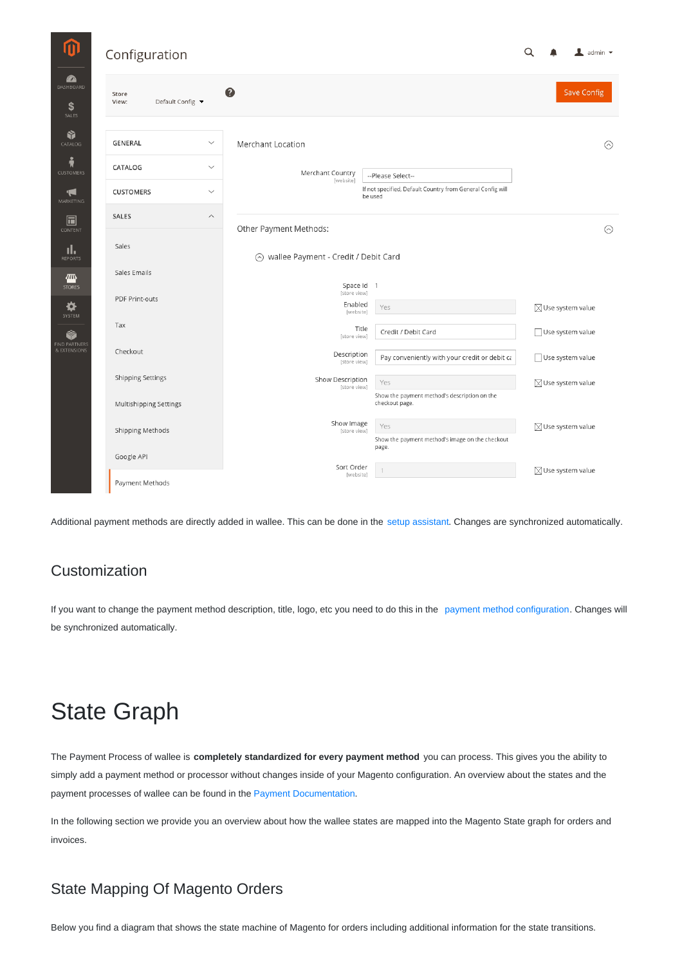| Configuration                      |                         |                                                                     |                                                                       | Q                            | $\mathbf 1$ admin $\mathbf $ |
|------------------------------------|-------------------------|---------------------------------------------------------------------|-----------------------------------------------------------------------|------------------------------|------------------------------|
| Store<br>Default Config ▼<br>View: |                         | ❸                                                                   |                                                                       |                              | <b>Save Config</b>           |
| GENERAL                            | $\checkmark$            | Merchant Location                                                   |                                                                       |                              | C                            |
| CATALOG                            | $\checkmark$            | Merchant Country                                                    | --Please Select--                                                     |                              |                              |
| <b>CUSTOMERS</b>                   | $\checkmark$            | [website]                                                           | If not specified, Default Country from General Config will<br>be used |                              |                              |
| SALES                              | $\widehat{\phantom{a}}$ |                                                                     |                                                                       |                              |                              |
| Sales                              |                         | Other Payment Methods:<br>wallee Payment - Credit / Debit Card<br>⊙ |                                                                       |                              | C                            |
| Sales Emails                       |                         |                                                                     |                                                                       |                              |                              |
| PDF Print-outs                     |                         | Space Id 1<br>[store view]<br>Enabled<br>[website]                  | Yes                                                                   | $\boxtimes$ Use system value |                              |
| Tax                                |                         | Title<br>[store view]                                               | Credit / Debit Card                                                   | Use system value             |                              |
| Checkout                           |                         | Description<br>[store view]                                         | Pay conveniently with your credit or debit ca                         | Use system value             |                              |
| <b>Shipping Settings</b>           |                         | Show Description<br>[store view]                                    | Yes                                                                   | $\boxtimes$ Use system value |                              |
| Multishipping Settings             |                         |                                                                     | Show the payment method's description on the<br>checkout page.        |                              |                              |
| Shipping Methods                   |                         | Show Image<br>[store view]                                          | Yes                                                                   | $\boxtimes$ Use system value |                              |
| Google API                         |                         |                                                                     | Show the payment method's image on the checkout<br>page.              |                              |                              |
| Payment Methods                    |                         | Sort Order<br>[website]                                             |                                                                       | $\boxtimes$ Use system value |                              |
|                                    |                         |                                                                     |                                                                       |                              |                              |

Additional payment methods are directly added in wallee. This can be done in the setup [assistant](https://app-wallee.com/space/select?target=/space/assistant/payment). Changes are synchronized automatically.

### Customization

If you want to change the payment method description, title, logo, etc you need to do this in the payment method [configuration](https://app-wallee.com/space/select?target=/payment/method-configuration/list). Changes will be synchronized automatically.

# State Graph

The Payment Process of wallee is **completely standardized for every payment method** you can process. This gives you the ability to simply add a payment method or processor without changes inside of your Magento configuration. An overview about the states and the payment processes of wallee can be found in the Payment [Documentation](https://app-wallee.com/en-us/doc/payment/transaction-process).

In the following section we provide you an overview about how the wallee states are mapped into the Magento State graph for orders and invoices.

### State Mapping Of Magento Orders

Below you find a diagram that shows the state machine of Magento for orders including additional information for the state transitions.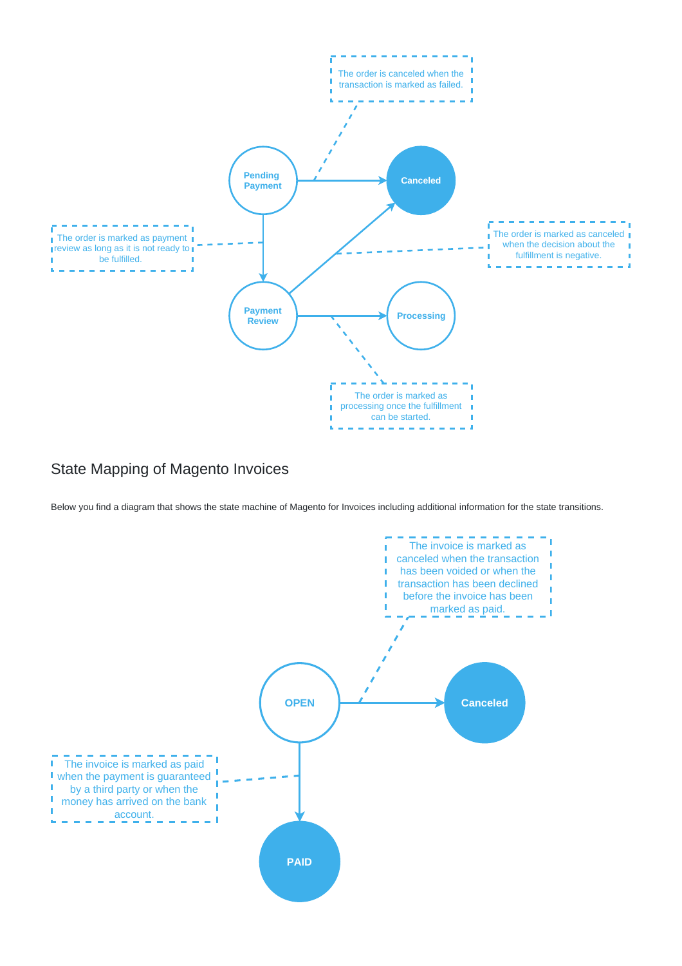

#### State Mapping of Magento Invoices

Below you find a diagram that shows the state machine of Magento for Invoices including additional information for the state transitions.

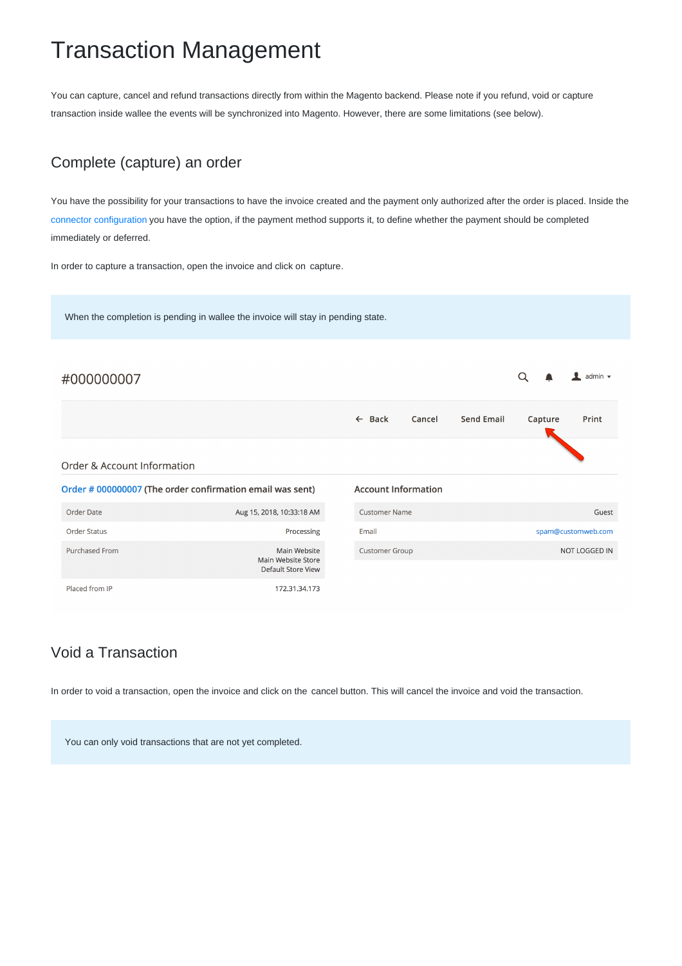## Transaction Management

You can capture, cancel and refund transactions directly from within the Magento backend. Please note if you refund, void or capture transaction inside wallee the events will be synchronized into Magento. However, there are some limitations (see below).

#### Complete (capture) an order

You have the possibility for your transactions to have the invoice created and the payment only authorized after the order is placed. Inside the connector [configuration](https://app-wallee.com/space/select?target=/payment/connector-configuration/list) you have the option, if the payment method supports it, to define whether the payment should be completed immediately or deferred.

In order to capture a transaction, open the invoice and click on capture.

When the completion is pending in wallee the invoice will stay in pending state. #000000007  $\alpha$  $\mathbf{r}$  $admin$  $\leftarrow$  Back Cancel **Send Email** Capture Print Order & Account Information Order # 000000007 (The order confirmation email was sent) **Account Information** Order Date Aug 15, 2018, 10:33:18 AM Customer Name Guest Order Status Processing Email spam@customweb.com Purchased From Main Website Customer Group NOT LOGGED IN Main Website Store Default Store View Placed from IP 172.31.34.173

### Void a Transaction

In order to void a transaction, open the invoice and click on the cancel button. This will cancel the invoice and void the transaction.

You can only void transactions that are not yet completed.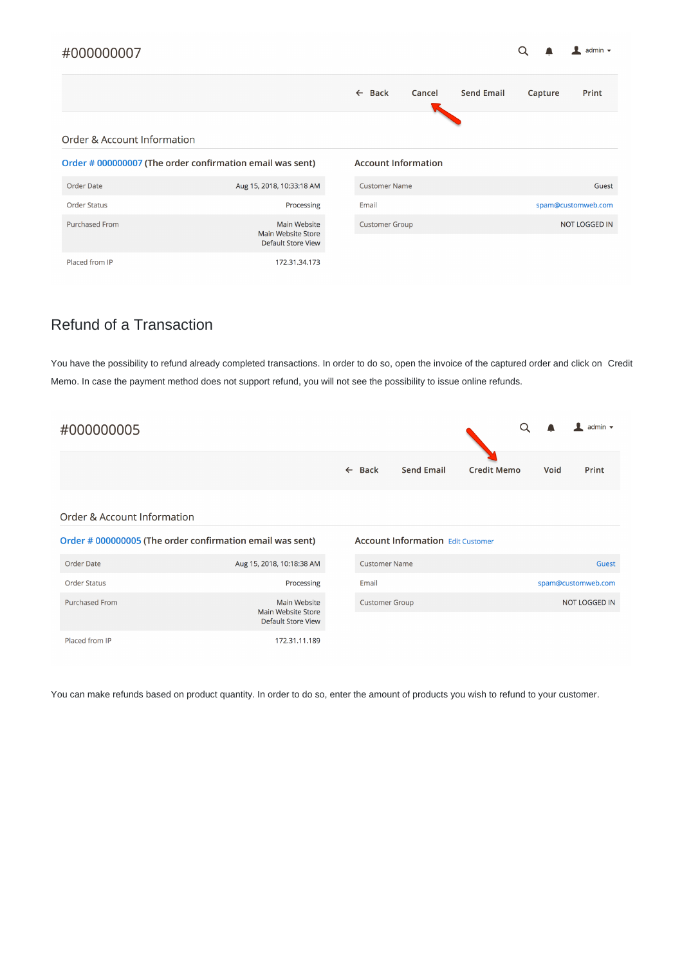#### #000000007

|  | admin $\blacktriangleright$ |  |
|--|-----------------------------|--|
|  |                             |  |

|                             |                                                                        | $\leftarrow$ Back | Cancel                     | <b>Send Email</b> | Capture | Print                |
|-----------------------------|------------------------------------------------------------------------|-------------------|----------------------------|-------------------|---------|----------------------|
| Order & Account Information |                                                                        |                   |                            |                   |         |                      |
|                             | Order # 000000007 (The order confirmation email was sent)              |                   | <b>Account Information</b> |                   |         |                      |
| Order Date                  | Aug 15, 2018, 10:33:18 AM                                              |                   | <b>Customer Name</b>       |                   |         | Guest                |
| <b>Order Status</b>         | Processing                                                             | Email             |                            |                   |         | spam@customweb.com   |
| <b>Purchased From</b>       | <b>Main Website</b><br>Main Website Store<br><b>Default Store View</b> |                   | <b>Customer Group</b>      |                   |         | <b>NOT LOGGED IN</b> |
| Placed from IP              | 172.31.34.173                                                          |                   |                            |                   |         |                      |

### Refund of a Transaction

You have the possibility to refund already completed transactions. In order to do so, open the invoice of the captured order and click on Credit Memo. In case the payment method does not support refund, you will not see the possibility to issue online refunds.

| #000000005 |                   |                   |                    | $Q \bullet$ | $\overline{\phantom{a}}$ admin $\overline{\phantom{a}}$ |
|------------|-------------------|-------------------|--------------------|-------------|---------------------------------------------------------|
|            | $\leftarrow$ Back | <b>Send Email</b> | <b>Credit Memo</b> | Void        | Print                                                   |

| Order & Account Information |  |
|-----------------------------|--|
|                             |  |

|                       | Order # 000000005 (The order confirmation email was sent)              | <b>Account Information Edit Customer</b> |                    |
|-----------------------|------------------------------------------------------------------------|------------------------------------------|--------------------|
| Order Date            | Aug 15, 2018, 10:18:38 AM                                              | <b>Customer Name</b>                     | Guest              |
| <b>Order Status</b>   | Processing                                                             | Email                                    | spam@customweb.com |
| <b>Purchased From</b> | <b>Main Website</b><br>Main Website Store<br><b>Default Store View</b> | <b>Customer Group</b>                    | NOT LOGGED IN      |
| Placed from IP        | 172.31.11.189                                                          |                                          |                    |

You can make refunds based on product quantity. In order to do so, enter the amount of products you wish to refund to your customer.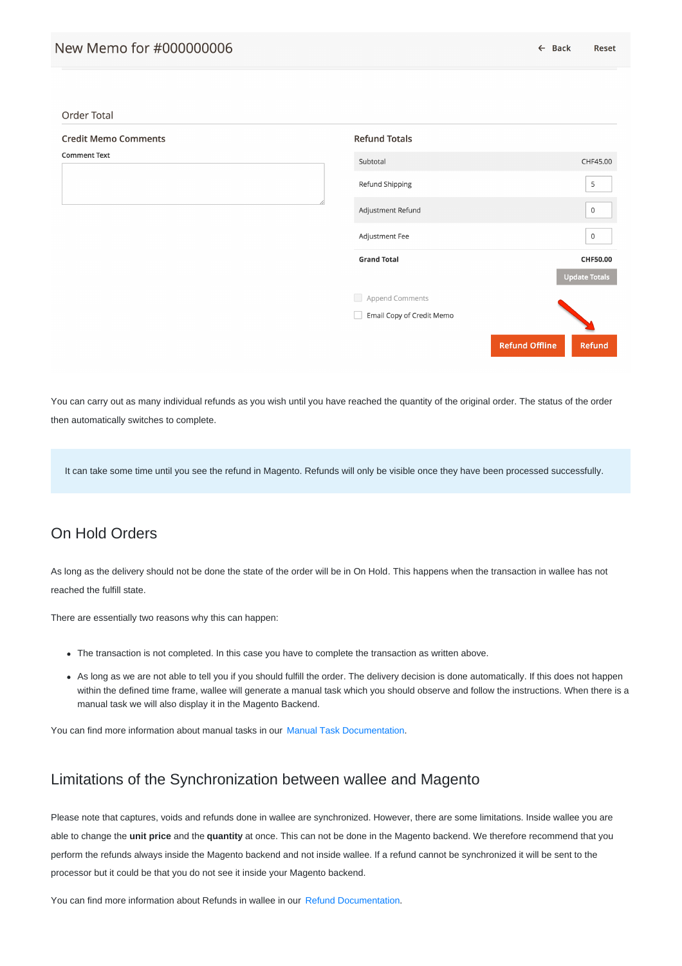Order Total

| <b>Credit Memo Comments</b> | <b>Refund Totals</b>      |                       |                      |
|-----------------------------|---------------------------|-----------------------|----------------------|
| <b>Comment Text</b>         | Subtotal                  |                       | CHF45.00             |
|                             | Refund Shipping           |                       | 5                    |
|                             | Adjustment Refund         |                       | 0                    |
|                             | Adjustment Fee            |                       | 0                    |
|                             | <b>Grand Total</b>        |                       | CHF50.00             |
|                             |                           |                       | <b>Update Totals</b> |
|                             | Append Comments           |                       |                      |
|                             | Email Copy of Credit Memo |                       |                      |
|                             |                           | <b>Refund Offline</b> | Refund               |
|                             |                           |                       |                      |

You can carry out as many individual refunds as you wish until you have reached the quantity of the original order. The status of the order then automatically switches to complete.

It can take some time until you see the refund in Magento. Refunds will only be visible once they have been processed successfully.

#### On Hold Orders

As long as the delivery should not be done the state of the order will be in On Hold. This happens when the transaction in wallee has not reached the fulfill state.

There are essentially two reasons why this can happen:

- The transaction is not completed. In this case you have to complete the transaction as written above.
- As long as we are not able to tell you if you should fulfill the order. The delivery decision is done automatically. If this does not happen within the defined time frame, wallee will generate a manual task which you should observe and follow the instructions. When there is a manual task we will also display it in the Magento Backend.

You can find more information about manual tasks in our Manual Task [Documentation](https://app-wallee.com/en-us/doc/manual-tasks).

#### Limitations of the Synchronization between wallee and Magento

Please note that captures, voids and refunds done in wallee are synchronized. However, there are some limitations. Inside wallee you are able to change the **unit price** and the **quantity** at once. This can not be done in the Magento backend. We therefore recommend that you perform the refunds always inside the Magento backend and not inside wallee. If a refund cannot be synchronized it will be sent to the processor but it could be that you do not see it inside your Magento backend.

You can find more information about Refunds in wallee in our Refund [Documentation](https://app-wallee.com/en-us/doc/payment/refund).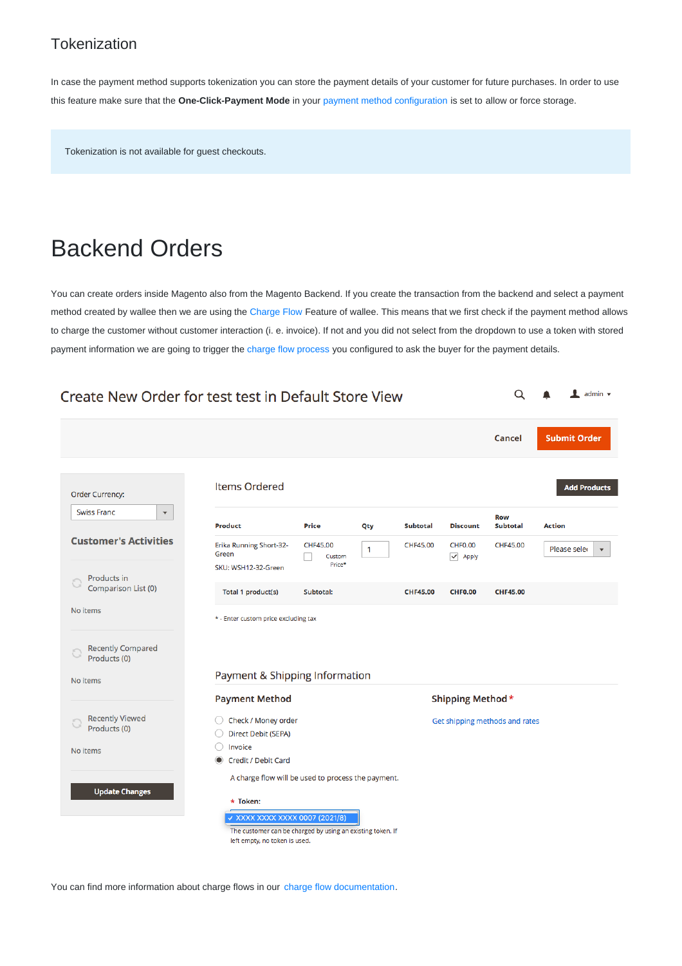#### **Tokenization**

In case the payment method supports tokenization you can store the payment details of your customer for future purchases. In order to use this feature make sure that the **One-Click-Payment Mode** in your payment method [configuration](https://app-wallee.com/space/select?target=/payment/method-configuration/list) is set to allow or force storage.

Tokenization is not available for guest checkouts.

### Backend Orders

You can create orders inside Magento also from the Magento Backend. If you create the transaction from the backend and select a payment method created by wallee then we are using the [Charge](https://app-wallee.com/en-us/doc/payment/charge-flows) Flow Feature of wallee. This means that we first check if the payment method allows to charge the customer without customer interaction (i. e. invoice). If not and you did not select from the dropdown to use a token with stored payment information we are going to trigger the charge flow [process](https://app-wallee.com/space/select?target=/payment/flow/list) you configured to ask the buyer for the payment details.

| Create New Order for test test in Default Store View |                                                                                             |                              |              |                 |                                |                                |               | $\mathbf 1$ admin $\mathbf $            |
|------------------------------------------------------|---------------------------------------------------------------------------------------------|------------------------------|--------------|-----------------|--------------------------------|--------------------------------|---------------|-----------------------------------------|
|                                                      |                                                                                             |                              |              |                 |                                | Cancel                         |               | <b>Submit Order</b>                     |
| Order Currency:                                      | <b>Items Ordered</b>                                                                        |                              |              |                 |                                |                                |               | <b>Add Products</b>                     |
| <b>Swiss Franc</b><br>$\blacktriangledown$           | Product                                                                                     | <b>Price</b>                 | Qty          | Subtotal        | <b>Discount</b>                | <b>Row</b><br><b>Subtotal</b>  | <b>Action</b> |                                         |
| <b>Customer's Activities</b>                         | <b>Erika Running Short-32-</b><br>Green<br>SKU: WSH12-32-Green                              | CHF45.00<br>Custom<br>Price* | $\mathbf{1}$ | CHF45.00        | <b>CHF0.00</b><br>$\vee$ Apply | CHF45.00                       |               | Please seler<br>$\overline{\mathbf{v}}$ |
| Products in<br>Comparison List (0)                   | Total 1 product(s)                                                                          | Subtotal:                    |              | <b>CHF45.00</b> | <b>CHF0.00</b>                 | <b>CHF45.00</b>                |               |                                         |
| No items                                             | * - Enter custom price excluding tax                                                        |                              |              |                 |                                |                                |               |                                         |
| <b>Recently Compared</b><br>Products (0)             |                                                                                             |                              |              |                 |                                |                                |               |                                         |
| No items                                             | Payment & Shipping Information                                                              |                              |              |                 |                                |                                |               |                                         |
|                                                      | <b>Payment Method</b>                                                                       |                              |              |                 | Shipping Method*               |                                |               |                                         |
| <b>Recently Viewed</b><br>Products (0)               | Check / Money order<br>Direct Debit (SEPA)                                                  |                              |              |                 |                                | Get shipping methods and rates |               |                                         |
| No items                                             | Invoice<br>Credit / Debit Card                                                              |                              |              |                 |                                |                                |               |                                         |
| <b>Update Changes</b>                                | A charge flow will be used to process the payment.                                          |                              |              |                 |                                |                                |               |                                         |
|                                                      | * Token:<br>V XXXX XXXX XXXX 0007 (2021/8)                                                  |                              |              |                 |                                |                                |               |                                         |
|                                                      | The customer can be charged by using an existing token. If<br>left empty, no token is used. |                              |              |                 |                                |                                |               |                                         |

You can find more information about charge flows in our charge flow [documentation](https://app-wallee.com/en-us/doc/payment/charge-flows).